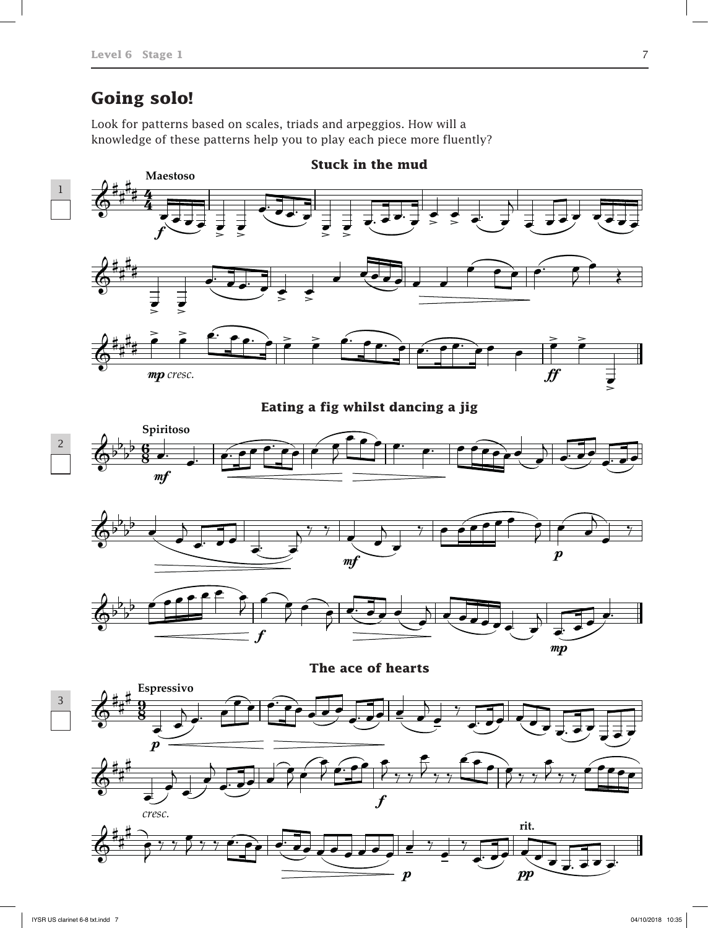## **Going solo!**

Look for patterns based on scales, triads and arpeggios. How will a knowledge of these patterns help you to play each piece more fluently?

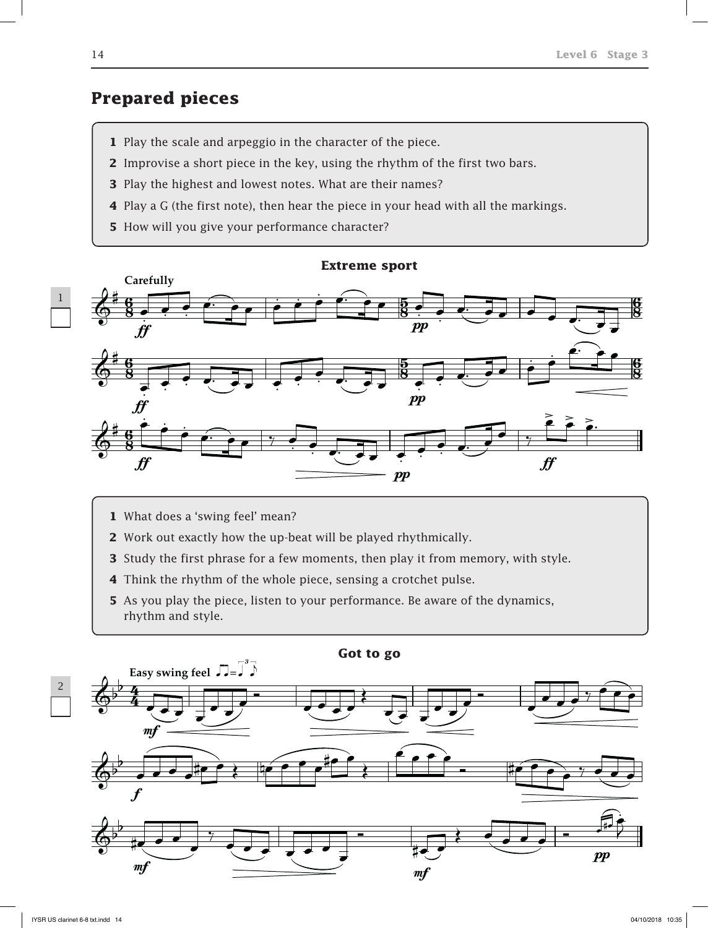### **Prepared pieces**

- **1** Play the scale and arpeggio in the character of the piece.
- **2** Improvise a short piece in the key, using the rhythm of the first two bars.
- **3** Play the highest and lowest notes. What are their names?
- **4** Play a G (the first note), then hear the piece in your head with all the markings.
- **5** How will you give your performance character?



- **1** What does a 'swing feel' mean?
- **2** Work out exactly how the up-beat will be played rhythmically.
- **3** Study the first phrase for a few moments, then play it from memory, with style.
- **4** Think the rhythm of the whole piece, sensing a crotchet pulse.
- **5** As you play the piece, listen to your performance. Be aware of the dynamics, rhythm and style.